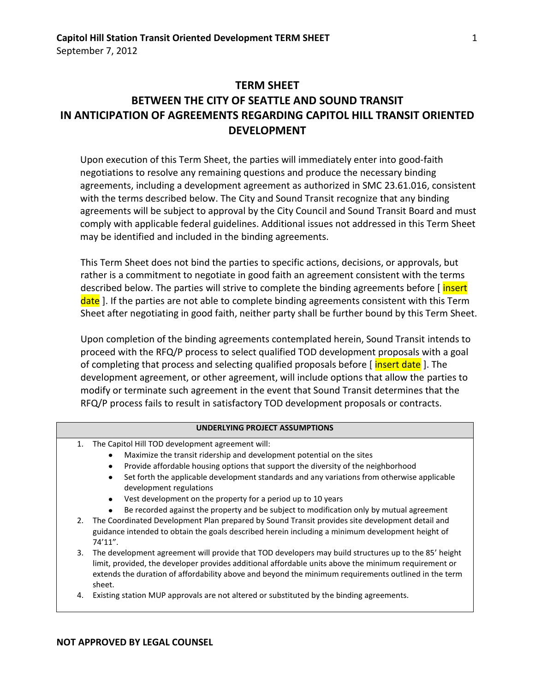# **TERM SHEET BETWEEN THE CITY OF SEATTLE AND SOUND TRANSIT IN ANTICIPATION OF AGREEMENTS REGARDING CAPITOL HILL TRANSIT ORIENTED DEVELOPMENT**

Upon execution of this Term Sheet, the parties will immediately enter into good-faith negotiations to resolve any remaining questions and produce the necessary binding agreements, including a development agreement as authorized in SMC 23.61.016, consistent with the terms described below. The City and Sound Transit recognize that any binding agreements will be subject to approval by the City Council and Sound Transit Board and must comply with applicable federal guidelines. Additional issues not addressed in this Term Sheet may be identified and included in the binding agreements.

This Term Sheet does not bind the parties to specific actions, decisions, or approvals, but rather is a commitment to negotiate in good faith an agreement consistent with the terms described below. The parties will strive to complete the binding agreements before [insert] date ]. If the parties are not able to complete binding agreements consistent with this Term Sheet after negotiating in good faith, neither party shall be further bound by this Term Sheet.

Upon completion of the binding agreements contemplated herein, Sound Transit intends to proceed with the RFQ/P process to select qualified TOD development proposals with a goal of completing that process and selecting qualified proposals before [insert date]. The development agreement, or other agreement, will include options that allow the parties to modify or terminate such agreement in the event that Sound Transit determines that the RFQ/P process fails to result in satisfactory TOD development proposals or contracts.

#### **UNDERLYING PROJECT ASSUMPTIONS**

- 1. The Capitol Hill TOD development agreement will:
	- Maximize the transit ridership and development potential on the sites
	- Provide affordable housing options that support the diversity of the neighborhood
	- Set forth the applicable development standards and any variations from otherwise applicable development regulations
	- Vest development on the property for a period up to 10 years
	- $\bullet$ Be recorded against the property and be subject to modification only by mutual agreement
- 2. The Coordinated Development Plan prepared by Sound Transit provides site development detail and guidance intended to obtain the goals described herein including a minimum development height of 74'11".
- 3. The development agreement will provide that TOD developers may build structures up to the 85' height limit, provided, the developer provides additional affordable units above the minimum requirement or extends the duration of affordability above and beyond the minimum requirements outlined in the term sheet.
- 4. Existing station MUP approvals are not altered or substituted by the binding agreements.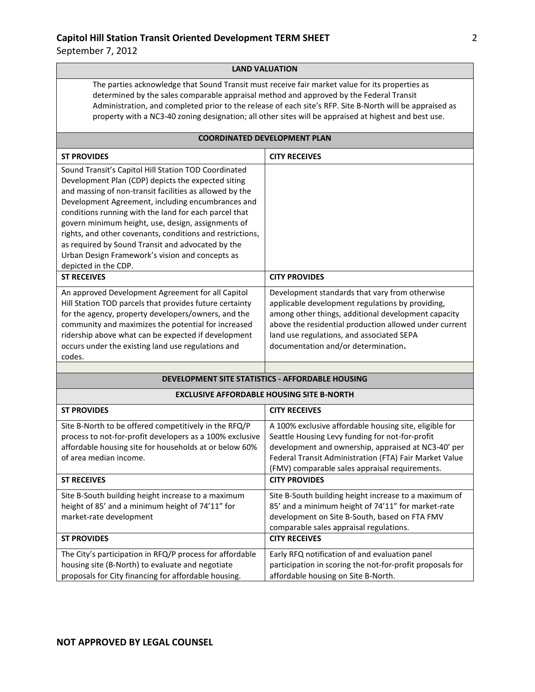September 7, 2012

#### **LAND VALUATION**

The parties acknowledge that Sound Transit must receive fair market value for its properties as determined by the sales comparable appraisal method and approved by the Federal Transit Administration, and completed prior to the release of each site's RFP. Site B-North will be appraised as property with a NC3-40 zoning designation; all other sites will be appraised at highest and best use.

#### **COORDINATED DEVELOPMENT PLAN**

| <b>ST PROVIDES</b>                                        | <b>CITY RECEIVES</b>                                      |
|-----------------------------------------------------------|-----------------------------------------------------------|
| Sound Transit's Capitol Hill Station TOD Coordinated      |                                                           |
| Development Plan (CDP) depicts the expected siting        |                                                           |
| and massing of non-transit facilities as allowed by the   |                                                           |
| Development Agreement, including encumbrances and         |                                                           |
| conditions running with the land for each parcel that     |                                                           |
| govern minimum height, use, design, assignments of        |                                                           |
| rights, and other covenants, conditions and restrictions, |                                                           |
| as required by Sound Transit and advocated by the         |                                                           |
| Urban Design Framework's vision and concepts as           |                                                           |
| depicted in the CDP.                                      |                                                           |
| <b>ST RECEIVES</b>                                        | <b>CITY PROVIDES</b>                                      |
| An approved Development Agreement for all Capitol         | Development standards that vary from otherwise            |
| Hill Station TOD parcels that provides future certainty   | applicable development regulations by providing,          |
| for the agency, property developers/owners, and the       | among other things, additional development capacity       |
| community and maximizes the potential for increased       | above the residential production allowed under current    |
| ridership above what can be expected if development       | land use regulations, and associated SEPA                 |
| occurs under the existing land use regulations and        | documentation and/or determination.                       |
| codes.                                                    |                                                           |
|                                                           |                                                           |
|                                                           | <b>DEVELOPMENT SITE STATISTICS - AFFORDABLE HOUSING</b>   |
| <b>EXCLUSIVE AFFORDABLE HOUSING SITE B-NORTH</b>          |                                                           |
| <b>ST PROVIDES</b>                                        | <b>CITY RECEIVES</b>                                      |
| Site B-North to be offered competitively in the RFQ/P     | A 100% exclusive affordable housing site, eligible for    |
| process to not-for-profit developers as a 100% exclusive  | Seattle Housing Levy funding for not-for-profit           |
| affordable housing site for households at or below 60%    | development and ownership, appraised at NC3-40' per       |
| of area median income.                                    | Federal Transit Administration (FTA) Fair Market Value    |
|                                                           | (FMV) comparable sales appraisal requirements.            |
| <b>ST RECEIVES</b>                                        | <b>CITY PROVIDES</b>                                      |
| Site B-South building height increase to a maximum        | Site B-South building height increase to a maximum of     |
| height of 85' and a minimum height of 74'11" for          | 85' and a minimum height of 74'11" for market-rate        |
| market-rate development                                   | development on Site B-South, based on FTA FMV             |
|                                                           | comparable sales appraisal regulations.                   |
| <b>ST PROVIDES</b>                                        | <b>CITY RECEIVES</b>                                      |
| The City's participation in RFQ/P process for affordable  | Early RFQ notification of and evaluation panel            |
| housing site (B-North) to evaluate and negotiate          | participation in scoring the not-for-profit proposals for |

affordable housing on Site B-North.

proposals for City financing for affordable housing.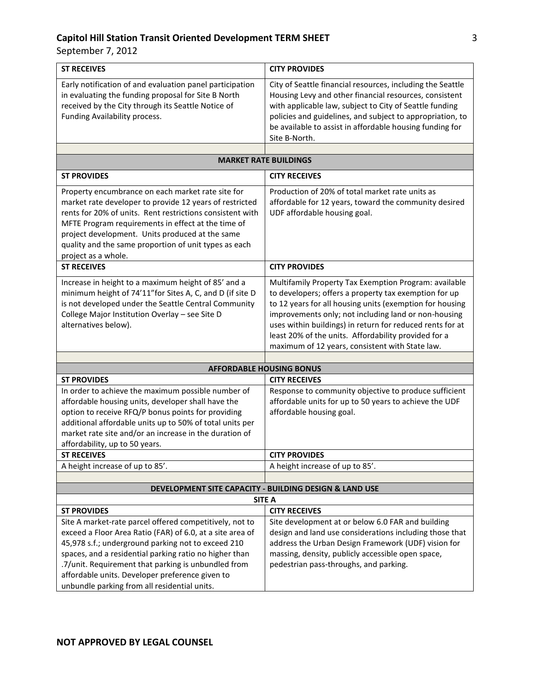| <b>ST RECEIVES</b>                                                                                                                                                                                                                                                                                                                                                                             | <b>CITY PROVIDES</b>                                                                                                                                                                                                                                                                                                                                                                                       |
|------------------------------------------------------------------------------------------------------------------------------------------------------------------------------------------------------------------------------------------------------------------------------------------------------------------------------------------------------------------------------------------------|------------------------------------------------------------------------------------------------------------------------------------------------------------------------------------------------------------------------------------------------------------------------------------------------------------------------------------------------------------------------------------------------------------|
| Early notification of and evaluation panel participation<br>in evaluating the funding proposal for Site B North<br>received by the City through its Seattle Notice of<br>Funding Availability process.                                                                                                                                                                                         | City of Seattle financial resources, including the Seattle<br>Housing Levy and other financial resources, consistent<br>with applicable law, subject to City of Seattle funding<br>policies and guidelines, and subject to appropriation, to<br>be available to assist in affordable housing funding for<br>Site B-North.                                                                                  |
|                                                                                                                                                                                                                                                                                                                                                                                                |                                                                                                                                                                                                                                                                                                                                                                                                            |
| <b>MARKET RATE BUILDINGS</b>                                                                                                                                                                                                                                                                                                                                                                   |                                                                                                                                                                                                                                                                                                                                                                                                            |
| <b>ST PROVIDES</b>                                                                                                                                                                                                                                                                                                                                                                             | <b>CITY RECEIVES</b>                                                                                                                                                                                                                                                                                                                                                                                       |
| Property encumbrance on each market rate site for<br>market rate developer to provide 12 years of restricted<br>rents for 20% of units. Rent restrictions consistent with<br>MFTE Program requirements in effect at the time of<br>project development. Units produced at the same<br>quality and the same proportion of unit types as each<br>project as a whole.                             | Production of 20% of total market rate units as<br>affordable for 12 years, toward the community desired<br>UDF affordable housing goal.                                                                                                                                                                                                                                                                   |
| <b>ST RECEIVES</b>                                                                                                                                                                                                                                                                                                                                                                             | <b>CITY PROVIDES</b>                                                                                                                                                                                                                                                                                                                                                                                       |
| Increase in height to a maximum height of 85' and a<br>minimum height of 74'11" for Sites A, C, and D (if site D<br>is not developed under the Seattle Central Community<br>College Major Institution Overlay - see Site D<br>alternatives below).                                                                                                                                             | Multifamily Property Tax Exemption Program: available<br>to developers; offers a property tax exemption for up<br>to 12 years for all housing units (exemption for housing<br>improvements only; not including land or non-housing<br>uses within buildings) in return for reduced rents for at<br>least 20% of the units. Affordability provided for a<br>maximum of 12 years, consistent with State law. |
|                                                                                                                                                                                                                                                                                                                                                                                                |                                                                                                                                                                                                                                                                                                                                                                                                            |
| <b>ST PROVIDES</b>                                                                                                                                                                                                                                                                                                                                                                             | <b>AFFORDABLE HOUSING BONUS</b><br><b>CITY RECEIVES</b>                                                                                                                                                                                                                                                                                                                                                    |
| In order to achieve the maximum possible number of<br>affordable housing units, developer shall have the<br>option to receive RFQ/P bonus points for providing<br>additional affordable units up to 50% of total units per<br>market rate site and/or an increase in the duration of<br>affordability, up to 50 years.                                                                         | Response to community objective to produce sufficient<br>affordable units for up to 50 years to achieve the UDF<br>affordable housing goal.                                                                                                                                                                                                                                                                |
| <b>ST RECEIVES</b>                                                                                                                                                                                                                                                                                                                                                                             | <b>CITY PROVIDES</b>                                                                                                                                                                                                                                                                                                                                                                                       |
| A height increase of up to 85'.                                                                                                                                                                                                                                                                                                                                                                | A height increase of up to 85'.                                                                                                                                                                                                                                                                                                                                                                            |
|                                                                                                                                                                                                                                                                                                                                                                                                |                                                                                                                                                                                                                                                                                                                                                                                                            |
|                                                                                                                                                                                                                                                                                                                                                                                                | DEVELOPMENT SITE CAPACITY - BUILDING DESIGN & LAND USE                                                                                                                                                                                                                                                                                                                                                     |
| <b>ST PROVIDES</b>                                                                                                                                                                                                                                                                                                                                                                             | <b>SITE A</b><br><b>CITY RECEIVES</b>                                                                                                                                                                                                                                                                                                                                                                      |
| Site A market-rate parcel offered competitively, not to<br>exceed a Floor Area Ratio (FAR) of 6.0, at a site area of<br>45,978 s.f.; underground parking not to exceed 210<br>spaces, and a residential parking ratio no higher than<br>.7/unit. Requirement that parking is unbundled from<br>affordable units. Developer preference given to<br>unbundle parking from all residential units. | Site development at or below 6.0 FAR and building<br>design and land use considerations including those that<br>address the Urban Design Framework (UDF) vision for<br>massing, density, publicly accessible open space,<br>pedestrian pass-throughs, and parking.                                                                                                                                         |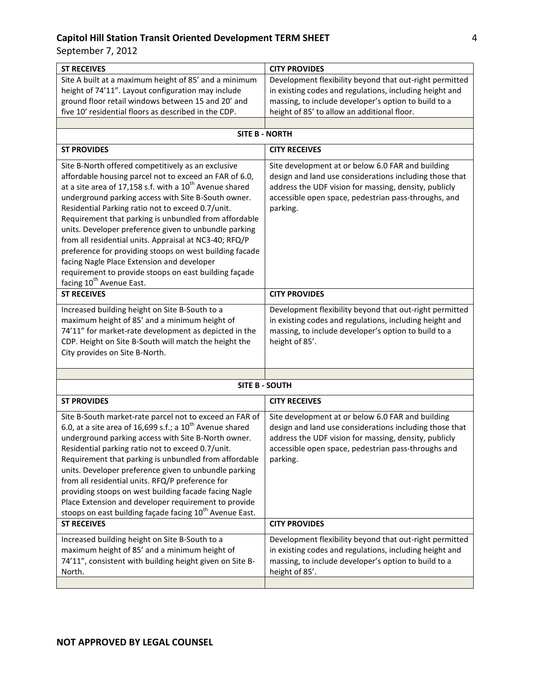| <b>CITY PROVIDES</b>                                                                                                                                                                                                                      |
|-------------------------------------------------------------------------------------------------------------------------------------------------------------------------------------------------------------------------------------------|
| Development flexibility beyond that out-right permitted                                                                                                                                                                                   |
| in existing codes and regulations, including height and                                                                                                                                                                                   |
| massing, to include developer's option to build to a                                                                                                                                                                                      |
| height of 85' to allow an additional floor.                                                                                                                                                                                               |
|                                                                                                                                                                                                                                           |
| <b>SITE B - NORTH</b>                                                                                                                                                                                                                     |
| <b>CITY RECEIVES</b>                                                                                                                                                                                                                      |
| Site development at or below 6.0 FAR and building<br>design and land use considerations including those that<br>address the UDF vision for massing, density, publicly<br>accessible open space, pedestrian pass-throughs, and<br>parking. |
| <b>CITY PROVIDES</b>                                                                                                                                                                                                                      |
| Development flexibility beyond that out-right permitted<br>in existing codes and regulations, including height and<br>massing, to include developer's option to build to a<br>height of 85'.                                              |
|                                                                                                                                                                                                                                           |
| <b>SITE B - SOUTH</b>                                                                                                                                                                                                                     |
| <b>CITY RECEIVES</b>                                                                                                                                                                                                                      |
| Site development at or below 6.0 FAR and building<br>design and land use considerations including those that<br>address the UDF vision for massing, density, publicly<br>accessible open space, pedestrian pass-throughs and<br>parking.  |
| <b>CITY PROVIDES</b>                                                                                                                                                                                                                      |
| Development flexibility beyond that out-right permitted<br>in existing codes and regulations, including height and<br>massing, to include developer's option to build to a<br>height of 85'.                                              |
|                                                                                                                                                                                                                                           |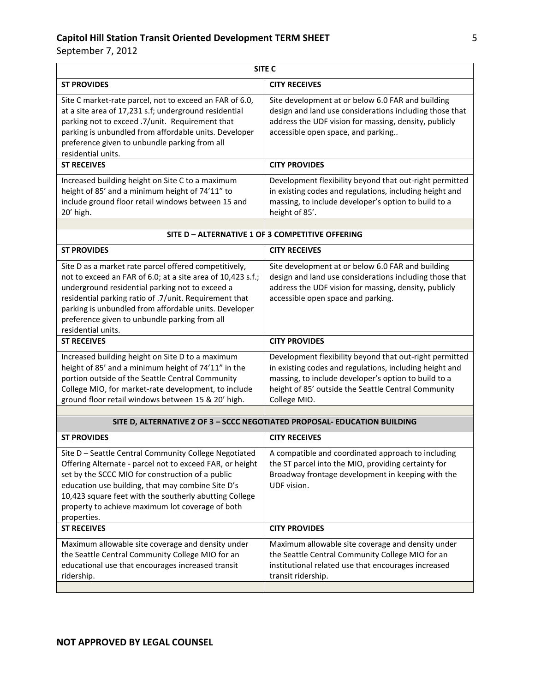| SITE <sub>C</sub>                                                                                                                                                                                                                                                                                                                                                             |                                                                                                                                                                                                                                                   |
|-------------------------------------------------------------------------------------------------------------------------------------------------------------------------------------------------------------------------------------------------------------------------------------------------------------------------------------------------------------------------------|---------------------------------------------------------------------------------------------------------------------------------------------------------------------------------------------------------------------------------------------------|
| <b>ST PROVIDES</b>                                                                                                                                                                                                                                                                                                                                                            | <b>CITY RECEIVES</b>                                                                                                                                                                                                                              |
| Site C market-rate parcel, not to exceed an FAR of 6.0,<br>at a site area of 17,231 s.f; underground residential<br>parking not to exceed .7/unit. Requirement that<br>parking is unbundled from affordable units. Developer<br>preference given to unbundle parking from all<br>residential units.                                                                           | Site development at or below 6.0 FAR and building<br>design and land use considerations including those that<br>address the UDF vision for massing, density, publicly<br>accessible open space, and parking                                       |
| <b>ST RECEIVES</b>                                                                                                                                                                                                                                                                                                                                                            | <b>CITY PROVIDES</b>                                                                                                                                                                                                                              |
| Increased building height on Site C to a maximum<br>height of 85' and a minimum height of 74'11" to<br>include ground floor retail windows between 15 and<br>20' high.                                                                                                                                                                                                        | Development flexibility beyond that out-right permitted<br>in existing codes and regulations, including height and<br>massing, to include developer's option to build to a<br>height of 85'.                                                      |
| SITE D - ALTERNATIVE 1 OF 3 COMPETITIVE OFFERING                                                                                                                                                                                                                                                                                                                              |                                                                                                                                                                                                                                                   |
| <b>ST PROVIDES</b>                                                                                                                                                                                                                                                                                                                                                            | <b>CITY RECEIVES</b>                                                                                                                                                                                                                              |
| Site D as a market rate parcel offered competitively,<br>not to exceed an FAR of 6.0; at a site area of 10,423 s.f.;<br>underground residential parking not to exceed a<br>residential parking ratio of .7/unit. Requirement that<br>parking is unbundled from affordable units. Developer<br>preference given to unbundle parking from all<br>residential units.             | Site development at or below 6.0 FAR and building<br>design and land use considerations including those that<br>address the UDF vision for massing, density, publicly<br>accessible open space and parking.                                       |
| <b>ST RECEIVES</b>                                                                                                                                                                                                                                                                                                                                                            | <b>CITY PROVIDES</b>                                                                                                                                                                                                                              |
| Increased building height on Site D to a maximum<br>height of 85' and a minimum height of 74'11" in the<br>portion outside of the Seattle Central Community<br>College MIO, for market-rate development, to include<br>ground floor retail windows between 15 & 20' high.                                                                                                     | Development flexibility beyond that out-right permitted<br>in existing codes and regulations, including height and<br>massing, to include developer's option to build to a<br>height of 85' outside the Seattle Central Community<br>College MIO. |
|                                                                                                                                                                                                                                                                                                                                                                               |                                                                                                                                                                                                                                                   |
| SITE D, ALTERNATIVE 2 OF 3 - SCCC NEGOTIATED PROPOSAL- EDUCATION BUILDING                                                                                                                                                                                                                                                                                                     |                                                                                                                                                                                                                                                   |
| <b>ST PROVIDES</b><br>Site D - Seattle Central Community College Negotiated<br>Offering Alternate - parcel not to exceed FAR, or height<br>set by the SCCC MIO for construction of a public<br>education use building, that may combine Site D's<br>10,423 square feet with the southerly abutting College<br>property to achieve maximum lot coverage of both<br>properties. | <b>CITY RECEIVES</b><br>A compatible and coordinated approach to including<br>the ST parcel into the MIO, providing certainty for<br>Broadway frontage development in keeping with the<br>UDF vision.                                             |
| <b>ST RECEIVES</b>                                                                                                                                                                                                                                                                                                                                                            | <b>CITY PROVIDES</b>                                                                                                                                                                                                                              |
| Maximum allowable site coverage and density under<br>the Seattle Central Community College MIO for an<br>educational use that encourages increased transit<br>ridership.                                                                                                                                                                                                      | Maximum allowable site coverage and density under<br>the Seattle Central Community College MIO for an<br>institutional related use that encourages increased<br>transit ridership.                                                                |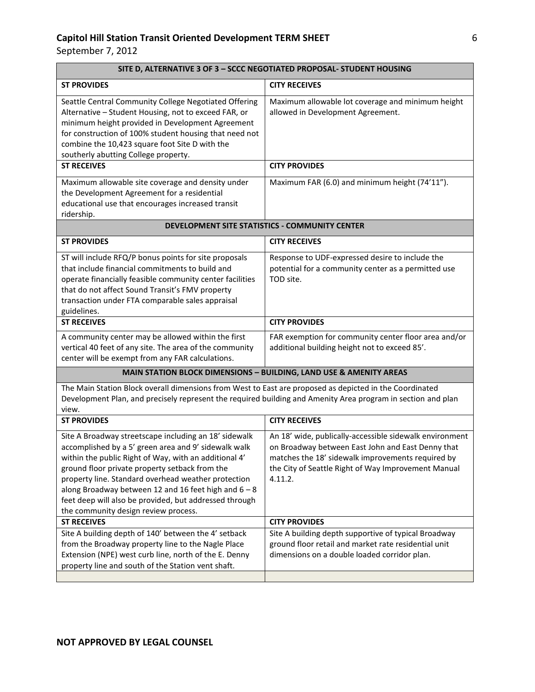| SITE D, ALTERNATIVE 3 OF 3 - SCCC NEGOTIATED PROPOSAL- STUDENT HOUSING                                                                                                                                                                                                                                                                                                                                                                      |                                                                                                                                                                                                                                     |
|---------------------------------------------------------------------------------------------------------------------------------------------------------------------------------------------------------------------------------------------------------------------------------------------------------------------------------------------------------------------------------------------------------------------------------------------|-------------------------------------------------------------------------------------------------------------------------------------------------------------------------------------------------------------------------------------|
| <b>ST PROVIDES</b>                                                                                                                                                                                                                                                                                                                                                                                                                          | <b>CITY RECEIVES</b>                                                                                                                                                                                                                |
| Seattle Central Community College Negotiated Offering<br>Alternative - Student Housing, not to exceed FAR, or<br>minimum height provided in Development Agreement<br>for construction of 100% student housing that need not<br>combine the 10,423 square foot Site D with the<br>southerly abutting College property.                                                                                                                       | Maximum allowable lot coverage and minimum height<br>allowed in Development Agreement.                                                                                                                                              |
| <b>ST RECEIVES</b>                                                                                                                                                                                                                                                                                                                                                                                                                          | <b>CITY PROVIDES</b>                                                                                                                                                                                                                |
| Maximum allowable site coverage and density under<br>the Development Agreement for a residential<br>educational use that encourages increased transit<br>ridership.                                                                                                                                                                                                                                                                         | Maximum FAR (6.0) and minimum height (74'11").                                                                                                                                                                                      |
| DEVELOPMENT SITE STATISTICS - COMMUNITY CENTER                                                                                                                                                                                                                                                                                                                                                                                              |                                                                                                                                                                                                                                     |
| <b>ST PROVIDES</b>                                                                                                                                                                                                                                                                                                                                                                                                                          | <b>CITY RECEIVES</b>                                                                                                                                                                                                                |
| ST will include RFQ/P bonus points for site proposals<br>that include financial commitments to build and<br>operate financially feasible community center facilities<br>that do not affect Sound Transit's FMV property<br>transaction under FTA comparable sales appraisal<br>guidelines.                                                                                                                                                  | Response to UDF-expressed desire to include the<br>potential for a community center as a permitted use<br>TOD site.                                                                                                                 |
| <b>ST RECEIVES</b>                                                                                                                                                                                                                                                                                                                                                                                                                          | <b>CITY PROVIDES</b>                                                                                                                                                                                                                |
| A community center may be allowed within the first<br>vertical 40 feet of any site. The area of the community<br>center will be exempt from any FAR calculations.                                                                                                                                                                                                                                                                           | FAR exemption for community center floor area and/or<br>additional building height not to exceed 85'.                                                                                                                               |
|                                                                                                                                                                                                                                                                                                                                                                                                                                             | MAIN STATION BLOCK DIMENSIONS - BUILDING, LAND USE & AMENITY AREAS                                                                                                                                                                  |
| The Main Station Block overall dimensions from West to East are proposed as depicted in the Coordinated<br>Development Plan, and precisely represent the required building and Amenity Area program in section and plan<br>view.                                                                                                                                                                                                            |                                                                                                                                                                                                                                     |
| <b>ST PROVIDES</b>                                                                                                                                                                                                                                                                                                                                                                                                                          | <b>CITY RECEIVES</b>                                                                                                                                                                                                                |
| Site A Broadway streetscape including an 18' sidewalk<br>accomplished by a 5' green area and 9' sidewalk walk<br>within the public Right of Way, with an additional 4'<br>ground floor private property setback from the<br>property line. Standard overhead weather protection<br>along Broadway between 12 and 16 feet high and $6 - 8$<br>feet deep will also be provided, but addressed through<br>the community design review process. | An 18' wide, publically-accessible sidewalk environment<br>on Broadway between East John and East Denny that<br>matches the 18' sidewalk improvements required by<br>the City of Seattle Right of Way Improvement Manual<br>4.11.2. |
| <b>ST RECEIVES</b>                                                                                                                                                                                                                                                                                                                                                                                                                          | <b>CITY PROVIDES</b>                                                                                                                                                                                                                |
| Site A building depth of 140' between the 4' setback<br>from the Broadway property line to the Nagle Place<br>Extension (NPE) west curb line, north of the E. Denny<br>property line and south of the Station vent shaft.                                                                                                                                                                                                                   | Site A building depth supportive of typical Broadway<br>ground floor retail and market rate residential unit<br>dimensions on a double loaded corridor plan.                                                                        |
|                                                                                                                                                                                                                                                                                                                                                                                                                                             |                                                                                                                                                                                                                                     |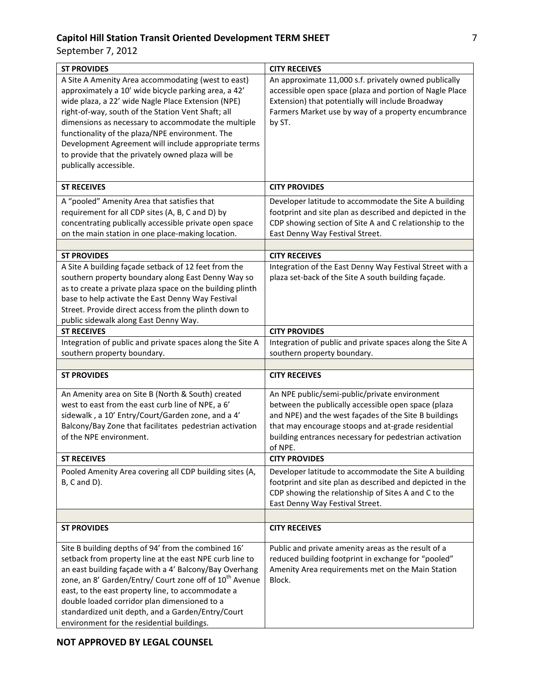| <b>ST PROVIDES</b>                                                                                                                                                                                                                                                                                                                                                                                                                                                      | <b>CITY RECEIVES</b>                                                                                                                                                                                                                                                                     |
|-------------------------------------------------------------------------------------------------------------------------------------------------------------------------------------------------------------------------------------------------------------------------------------------------------------------------------------------------------------------------------------------------------------------------------------------------------------------------|------------------------------------------------------------------------------------------------------------------------------------------------------------------------------------------------------------------------------------------------------------------------------------------|
| A Site A Amenity Area accommodating (west to east)<br>approximately a 10' wide bicycle parking area, a 42'<br>wide plaza, a 22' wide Nagle Place Extension (NPE)<br>right-of-way, south of the Station Vent Shaft; all<br>dimensions as necessary to accommodate the multiple<br>functionality of the plaza/NPE environment. The<br>Development Agreement will include appropriate terms<br>to provide that the privately owned plaza will be<br>publically accessible. | An approximate 11,000 s.f. privately owned publically<br>accessible open space (plaza and portion of Nagle Place<br>Extension) that potentially will include Broadway<br>Farmers Market use by way of a property encumbrance<br>by ST.                                                   |
| <b>ST RECEIVES</b>                                                                                                                                                                                                                                                                                                                                                                                                                                                      | <b>CITY PROVIDES</b>                                                                                                                                                                                                                                                                     |
| A "pooled" Amenity Area that satisfies that<br>requirement for all CDP sites (A, B, C and D) by<br>concentrating publically accessible private open space<br>on the main station in one place-making location.                                                                                                                                                                                                                                                          | Developer latitude to accommodate the Site A building<br>footprint and site plan as described and depicted in the<br>CDP showing section of Site A and C relationship to the<br>East Denny Way Festival Street.                                                                          |
| <b>ST PROVIDES</b>                                                                                                                                                                                                                                                                                                                                                                                                                                                      | <b>CITY RECEIVES</b>                                                                                                                                                                                                                                                                     |
| A Site A building façade setback of 12 feet from the<br>southern property boundary along East Denny Way so<br>as to create a private plaza space on the building plinth<br>base to help activate the East Denny Way Festival<br>Street. Provide direct access from the plinth down to<br>public sidewalk along East Denny Way.                                                                                                                                          | Integration of the East Denny Way Festival Street with a<br>plaza set-back of the Site A south building façade.                                                                                                                                                                          |
| <b>ST RECEIVES</b>                                                                                                                                                                                                                                                                                                                                                                                                                                                      | <b>CITY PROVIDES</b>                                                                                                                                                                                                                                                                     |
| Integration of public and private spaces along the Site A<br>southern property boundary.                                                                                                                                                                                                                                                                                                                                                                                | Integration of public and private spaces along the Site A<br>southern property boundary.                                                                                                                                                                                                 |
|                                                                                                                                                                                                                                                                                                                                                                                                                                                                         |                                                                                                                                                                                                                                                                                          |
| <b>ST PROVIDES</b>                                                                                                                                                                                                                                                                                                                                                                                                                                                      | <b>CITY RECEIVES</b>                                                                                                                                                                                                                                                                     |
| An Amenity area on Site B (North & South) created<br>west to east from the east curb line of NPE, a 6'<br>sidewalk, a 10' Entry/Court/Garden zone, and a 4'<br>Balcony/Bay Zone that facilitates pedestrian activation<br>of the NPE environment.                                                                                                                                                                                                                       | An NPE public/semi-public/private environment<br>between the publically accessible open space (plaza<br>and NPE) and the west façades of the Site B buildings<br>that may encourage stoops and at-grade residential<br>building entrances necessary for pedestrian activation<br>of NPE. |
| <b>ST RECEIVES</b>                                                                                                                                                                                                                                                                                                                                                                                                                                                      | <b>CITY PROVIDES</b>                                                                                                                                                                                                                                                                     |
| Pooled Amenity Area covering all CDP building sites (A,<br>$B, C$ and $D$ ).                                                                                                                                                                                                                                                                                                                                                                                            | Developer latitude to accommodate the Site A building<br>footprint and site plan as described and depicted in the<br>CDP showing the relationship of Sites A and C to the<br>East Denny Way Festival Street.                                                                             |
|                                                                                                                                                                                                                                                                                                                                                                                                                                                                         |                                                                                                                                                                                                                                                                                          |
| <b>ST PROVIDES</b>                                                                                                                                                                                                                                                                                                                                                                                                                                                      | <b>CITY RECEIVES</b>                                                                                                                                                                                                                                                                     |
| Site B building depths of 94' from the combined 16'<br>setback from property line at the east NPE curb line to<br>an east building façade with a 4' Balcony/Bay Overhang<br>zone, an 8' Garden/Entry/ Court zone off of 10 <sup>th</sup> Avenue<br>east, to the east property line, to accommodate a<br>double loaded corridor plan dimensioned to a<br>standardized unit depth, and a Garden/Entry/Court<br>environment for the residential buildings.                 | Public and private amenity areas as the result of a<br>reduced building footprint in exchange for "pooled"<br>Amenity Area requirements met on the Main Station<br>Block.                                                                                                                |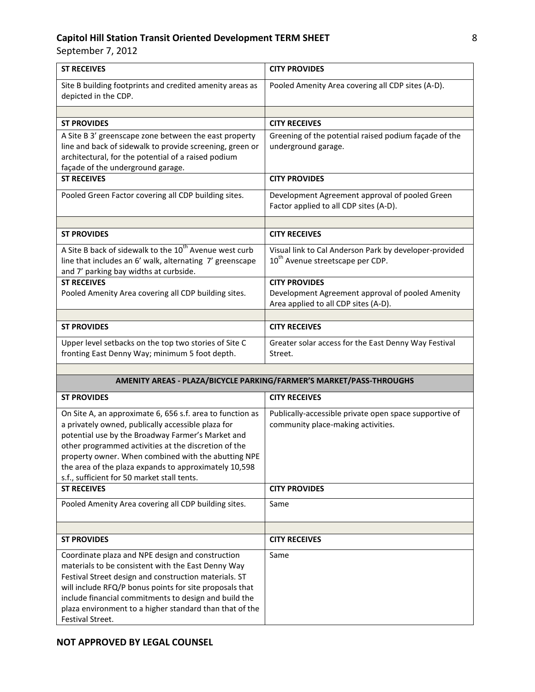| <b>ST RECEIVES</b>                                                                                                                                                                                                                                                                                                                                                                          | <b>CITY PROVIDES</b>                                                                                             |
|---------------------------------------------------------------------------------------------------------------------------------------------------------------------------------------------------------------------------------------------------------------------------------------------------------------------------------------------------------------------------------------------|------------------------------------------------------------------------------------------------------------------|
| Site B building footprints and credited amenity areas as<br>depicted in the CDP.                                                                                                                                                                                                                                                                                                            | Pooled Amenity Area covering all CDP sites (A-D).                                                                |
|                                                                                                                                                                                                                                                                                                                                                                                             |                                                                                                                  |
| <b>ST PROVIDES</b>                                                                                                                                                                                                                                                                                                                                                                          | <b>CITY RECEIVES</b>                                                                                             |
| A Site B 3' greenscape zone between the east property<br>line and back of sidewalk to provide screening, green or<br>architectural, for the potential of a raised podium<br>façade of the underground garage.                                                                                                                                                                               | Greening of the potential raised podium façade of the<br>underground garage.                                     |
| <b>ST RECEIVES</b>                                                                                                                                                                                                                                                                                                                                                                          | <b>CITY PROVIDES</b>                                                                                             |
| Pooled Green Factor covering all CDP building sites.                                                                                                                                                                                                                                                                                                                                        | Development Agreement approval of pooled Green<br>Factor applied to all CDP sites (A-D).                         |
|                                                                                                                                                                                                                                                                                                                                                                                             |                                                                                                                  |
| <b>ST PROVIDES</b>                                                                                                                                                                                                                                                                                                                                                                          | <b>CITY RECEIVES</b>                                                                                             |
| A Site B back of sidewalk to the 10 <sup>th</sup> Avenue west curb<br>line that includes an 6' walk, alternating 7' greenscape<br>and 7' parking bay widths at curbside.                                                                                                                                                                                                                    | Visual link to Cal Anderson Park by developer-provided<br>10 <sup>th</sup> Avenue streetscape per CDP.           |
| <b>ST RECEIVES</b><br>Pooled Amenity Area covering all CDP building sites.                                                                                                                                                                                                                                                                                                                  | <b>CITY PROVIDES</b><br>Development Agreement approval of pooled Amenity<br>Area applied to all CDP sites (A-D). |
|                                                                                                                                                                                                                                                                                                                                                                                             |                                                                                                                  |
| <b>ST PROVIDES</b>                                                                                                                                                                                                                                                                                                                                                                          | <b>CITY RECEIVES</b>                                                                                             |
| Upper level setbacks on the top two stories of Site C<br>fronting East Denny Way; minimum 5 foot depth.                                                                                                                                                                                                                                                                                     | Greater solar access for the East Denny Way Festival<br>Street.                                                  |
|                                                                                                                                                                                                                                                                                                                                                                                             | AMENITY AREAS - PLAZA/BICYCLE PARKING/FARMER'S MARKET/PASS-THROUGHS                                              |
| <b>ST PROVIDES</b>                                                                                                                                                                                                                                                                                                                                                                          | <b>CITY RECEIVES</b>                                                                                             |
| On Site A, an approximate 6, 656 s.f. area to function as<br>a privately owned, publically accessible plaza for<br>potential use by the Broadway Farmer's Market and<br>other programmed activities at the discretion of the<br>property owner. When combined with the abutting NPE<br>the area of the plaza expands to approximately 10,598<br>s.f., sufficient for 50 market stall tents. | Publically-accessible private open space supportive of<br>community place-making activities.                     |
| <b>ST RECEIVES</b>                                                                                                                                                                                                                                                                                                                                                                          | <b>CITY PROVIDES</b>                                                                                             |
| Pooled Amenity Area covering all CDP building sites.                                                                                                                                                                                                                                                                                                                                        | Same                                                                                                             |
| <b>ST PROVIDES</b>                                                                                                                                                                                                                                                                                                                                                                          | <b>CITY RECEIVES</b>                                                                                             |
| Coordinate plaza and NPE design and construction<br>materials to be consistent with the East Denny Way<br>Festival Street design and construction materials. ST<br>will include RFQ/P bonus points for site proposals that<br>include financial commitments to design and build the<br>plaza environment to a higher standard than that of the<br>Festival Street.                          | Same                                                                                                             |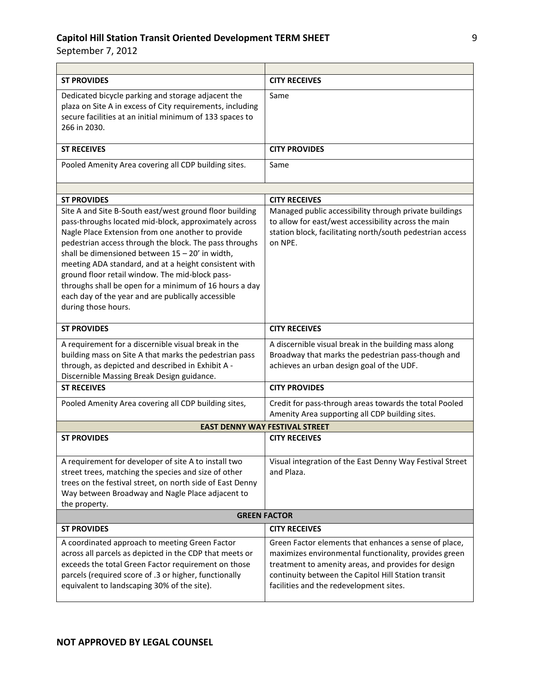| <b>ST PROVIDES</b>                                                                                                                                                                                                                                                                                                                                                                                                                                                                                                                      | <b>CITY RECEIVES</b>                                                                                                                                                                                                                                                    |
|-----------------------------------------------------------------------------------------------------------------------------------------------------------------------------------------------------------------------------------------------------------------------------------------------------------------------------------------------------------------------------------------------------------------------------------------------------------------------------------------------------------------------------------------|-------------------------------------------------------------------------------------------------------------------------------------------------------------------------------------------------------------------------------------------------------------------------|
| Dedicated bicycle parking and storage adjacent the<br>plaza on Site A in excess of City requirements, including<br>secure facilities at an initial minimum of 133 spaces to<br>266 in 2030.                                                                                                                                                                                                                                                                                                                                             | Same                                                                                                                                                                                                                                                                    |
| <b>ST RECEIVES</b>                                                                                                                                                                                                                                                                                                                                                                                                                                                                                                                      | <b>CITY PROVIDES</b>                                                                                                                                                                                                                                                    |
| Pooled Amenity Area covering all CDP building sites.                                                                                                                                                                                                                                                                                                                                                                                                                                                                                    | Same                                                                                                                                                                                                                                                                    |
|                                                                                                                                                                                                                                                                                                                                                                                                                                                                                                                                         |                                                                                                                                                                                                                                                                         |
| <b>ST PROVIDES</b>                                                                                                                                                                                                                                                                                                                                                                                                                                                                                                                      | <b>CITY RECEIVES</b>                                                                                                                                                                                                                                                    |
| Site A and Site B-South east/west ground floor building<br>pass-throughs located mid-block, approximately across<br>Nagle Place Extension from one another to provide<br>pedestrian access through the block. The pass throughs<br>shall be dimensioned between $15 - 20'$ in width,<br>meeting ADA standard, and at a height consistent with<br>ground floor retail window. The mid-block pass-<br>throughs shall be open for a minimum of 16 hours a day<br>each day of the year and are publically accessible<br>during those hours. | Managed public accessibility through private buildings<br>to allow for east/west accessibility across the main<br>station block, facilitating north/south pedestrian access<br>on NPF.                                                                                  |
| <b>ST PROVIDES</b>                                                                                                                                                                                                                                                                                                                                                                                                                                                                                                                      | <b>CITY RECEIVES</b>                                                                                                                                                                                                                                                    |
| A requirement for a discernible visual break in the<br>building mass on Site A that marks the pedestrian pass<br>through, as depicted and described in Exhibit A -<br>Discernible Massing Break Design guidance.                                                                                                                                                                                                                                                                                                                        | A discernible visual break in the building mass along<br>Broadway that marks the pedestrian pass-though and<br>achieves an urban design goal of the UDF.                                                                                                                |
| <b>ST RECEIVES</b>                                                                                                                                                                                                                                                                                                                                                                                                                                                                                                                      | <b>CITY PROVIDES</b>                                                                                                                                                                                                                                                    |
| Pooled Amenity Area covering all CDP building sites,                                                                                                                                                                                                                                                                                                                                                                                                                                                                                    | Credit for pass-through areas towards the total Pooled<br>Amenity Area supporting all CDP building sites.                                                                                                                                                               |
|                                                                                                                                                                                                                                                                                                                                                                                                                                                                                                                                         | <b>EAST DENNY WAY FESTIVAL STREET</b>                                                                                                                                                                                                                                   |
| <b>ST PROVIDES</b>                                                                                                                                                                                                                                                                                                                                                                                                                                                                                                                      | <b>CITY RECEIVES</b>                                                                                                                                                                                                                                                    |
| A requirement for developer of site A to install two<br>street trees, matching the species and size of other<br>trees on the festival street, on north side of East Denny<br>Way between Broadway and Nagle Place adjacent to<br>the property.                                                                                                                                                                                                                                                                                          | Visual integration of the East Denny Way Festival Street<br>and Plaza.                                                                                                                                                                                                  |
| <b>GREEN FACTOR</b>                                                                                                                                                                                                                                                                                                                                                                                                                                                                                                                     |                                                                                                                                                                                                                                                                         |
| <b>ST PROVIDES</b>                                                                                                                                                                                                                                                                                                                                                                                                                                                                                                                      | <b>CITY RECEIVES</b>                                                                                                                                                                                                                                                    |
| A coordinated approach to meeting Green Factor<br>across all parcels as depicted in the CDP that meets or<br>exceeds the total Green Factor requirement on those<br>parcels (required score of .3 or higher, functionally<br>equivalent to landscaping 30% of the site).                                                                                                                                                                                                                                                                | Green Factor elements that enhances a sense of place,<br>maximizes environmental functionality, provides green<br>treatment to amenity areas, and provides for design<br>continuity between the Capitol Hill Station transit<br>facilities and the redevelopment sites. |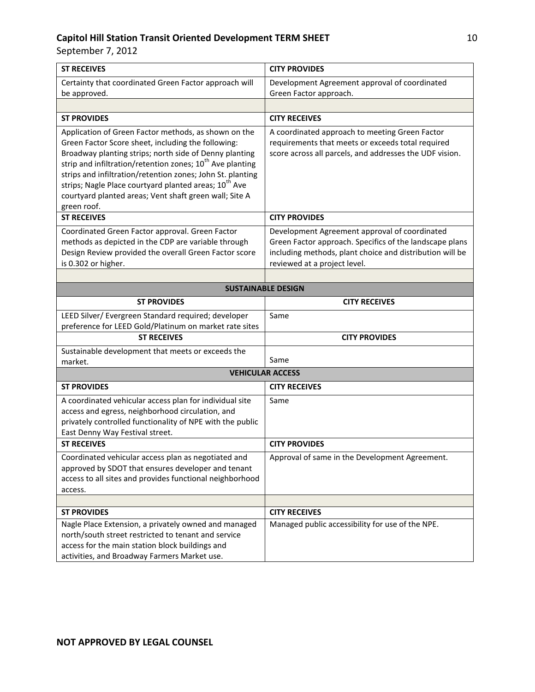| <b>ST RECEIVES</b>                                                                                                                                                                                                                                                                                                                                                                                                                                        | <b>CITY PROVIDES</b>                                                                                                                                                                                 |
|-----------------------------------------------------------------------------------------------------------------------------------------------------------------------------------------------------------------------------------------------------------------------------------------------------------------------------------------------------------------------------------------------------------------------------------------------------------|------------------------------------------------------------------------------------------------------------------------------------------------------------------------------------------------------|
| Certainty that coordinated Green Factor approach will<br>be approved.                                                                                                                                                                                                                                                                                                                                                                                     | Development Agreement approval of coordinated<br>Green Factor approach.                                                                                                                              |
|                                                                                                                                                                                                                                                                                                                                                                                                                                                           |                                                                                                                                                                                                      |
| <b>ST PROVIDES</b>                                                                                                                                                                                                                                                                                                                                                                                                                                        | <b>CITY RECEIVES</b>                                                                                                                                                                                 |
| Application of Green Factor methods, as shown on the<br>Green Factor Score sheet, including the following:<br>Broadway planting strips; north side of Denny planting<br>strip and infiltration/retention zones; 10 <sup>th</sup> Ave planting<br>strips and infiltration/retention zones; John St. planting<br>strips; Nagle Place courtyard planted areas; 10 <sup>th</sup> Ave<br>courtyard planted areas; Vent shaft green wall; Site A<br>green roof. | A coordinated approach to meeting Green Factor<br>requirements that meets or exceeds total required<br>score across all parcels, and addresses the UDF vision.                                       |
| <b>ST RECEIVES</b>                                                                                                                                                                                                                                                                                                                                                                                                                                        | <b>CITY PROVIDES</b>                                                                                                                                                                                 |
| Coordinated Green Factor approval. Green Factor<br>methods as depicted in the CDP are variable through<br>Design Review provided the overall Green Factor score<br>is 0.302 or higher.                                                                                                                                                                                                                                                                    | Development Agreement approval of coordinated<br>Green Factor approach. Specifics of the landscape plans<br>including methods, plant choice and distribution will be<br>reviewed at a project level. |
| <b>SUSTAINABLE DESIGN</b>                                                                                                                                                                                                                                                                                                                                                                                                                                 |                                                                                                                                                                                                      |
| <b>ST PROVIDES</b>                                                                                                                                                                                                                                                                                                                                                                                                                                        | <b>CITY RECEIVES</b>                                                                                                                                                                                 |
| LEED Silver/ Evergreen Standard required; developer<br>preference for LEED Gold/Platinum on market rate sites                                                                                                                                                                                                                                                                                                                                             | Same                                                                                                                                                                                                 |
| <b>ST RECEIVES</b>                                                                                                                                                                                                                                                                                                                                                                                                                                        | <b>CITY PROVIDES</b>                                                                                                                                                                                 |
| Sustainable development that meets or exceeds the<br>market.                                                                                                                                                                                                                                                                                                                                                                                              | Same                                                                                                                                                                                                 |
| <b>VEHICULAR ACCESS</b>                                                                                                                                                                                                                                                                                                                                                                                                                                   |                                                                                                                                                                                                      |
| <b>ST PROVIDES</b>                                                                                                                                                                                                                                                                                                                                                                                                                                        | <b>CITY RECEIVES</b>                                                                                                                                                                                 |
| A coordinated vehicular access plan for individual site<br>access and egress, neighborhood circulation, and<br>privately controlled functionality of NPE with the public<br>East Denny Way Festival street.                                                                                                                                                                                                                                               | Same                                                                                                                                                                                                 |
| <b>ST RECEIVES</b>                                                                                                                                                                                                                                                                                                                                                                                                                                        | <b>CITY PROVIDES</b>                                                                                                                                                                                 |
| Coordinated vehicular access plan as negotiated and<br>approved by SDOT that ensures developer and tenant<br>access to all sites and provides functional neighborhood<br>access.                                                                                                                                                                                                                                                                          | Approval of same in the Development Agreement.                                                                                                                                                       |
|                                                                                                                                                                                                                                                                                                                                                                                                                                                           |                                                                                                                                                                                                      |
| <b>ST PROVIDES</b>                                                                                                                                                                                                                                                                                                                                                                                                                                        | <b>CITY RECEIVES</b>                                                                                                                                                                                 |
| Nagle Place Extension, a privately owned and managed<br>north/south street restricted to tenant and service<br>access for the main station block buildings and<br>activities, and Broadway Farmers Market use.                                                                                                                                                                                                                                            | Managed public accessibility for use of the NPE.                                                                                                                                                     |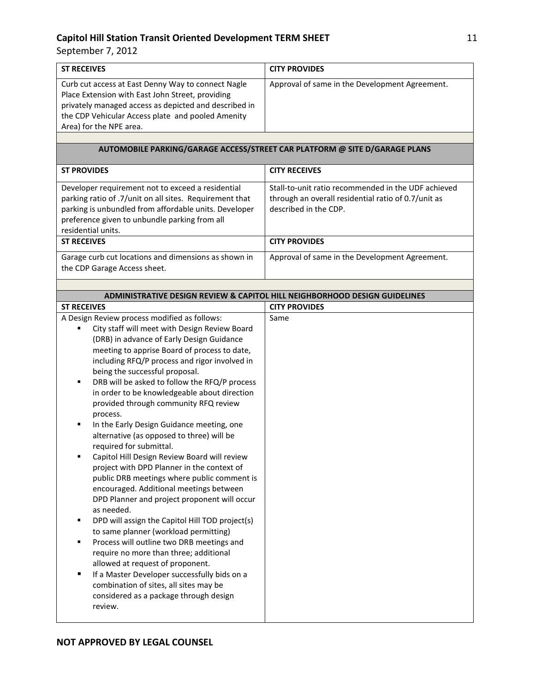| <b>ST RECEIVES</b>                                                                                                                                                                                                                                                                                                                                                                                                                                                                                                                                                                                                                                                                                                                                                                                                                                                                                                                                                                                                                                                                                                                                            | <b>CITY PROVIDES</b>                                                                                                                |
|---------------------------------------------------------------------------------------------------------------------------------------------------------------------------------------------------------------------------------------------------------------------------------------------------------------------------------------------------------------------------------------------------------------------------------------------------------------------------------------------------------------------------------------------------------------------------------------------------------------------------------------------------------------------------------------------------------------------------------------------------------------------------------------------------------------------------------------------------------------------------------------------------------------------------------------------------------------------------------------------------------------------------------------------------------------------------------------------------------------------------------------------------------------|-------------------------------------------------------------------------------------------------------------------------------------|
| Curb cut access at East Denny Way to connect Nagle<br>Place Extension with East John Street, providing<br>privately managed access as depicted and described in<br>the CDP Vehicular Access plate and pooled Amenity<br>Area) for the NPE area.                                                                                                                                                                                                                                                                                                                                                                                                                                                                                                                                                                                                                                                                                                                                                                                                                                                                                                               | Approval of same in the Development Agreement.                                                                                      |
|                                                                                                                                                                                                                                                                                                                                                                                                                                                                                                                                                                                                                                                                                                                                                                                                                                                                                                                                                                                                                                                                                                                                                               | AUTOMOBILE PARKING/GARAGE ACCESS/STREET CAR PLATFORM @ SITE D/GARAGE PLANS                                                          |
| <b>ST PROVIDES</b>                                                                                                                                                                                                                                                                                                                                                                                                                                                                                                                                                                                                                                                                                                                                                                                                                                                                                                                                                                                                                                                                                                                                            | <b>CITY RECEIVES</b>                                                                                                                |
| Developer requirement not to exceed a residential<br>parking ratio of .7/unit on all sites. Requirement that<br>parking is unbundled from affordable units. Developer<br>preference given to unbundle parking from all<br>residential units.                                                                                                                                                                                                                                                                                                                                                                                                                                                                                                                                                                                                                                                                                                                                                                                                                                                                                                                  | Stall-to-unit ratio recommended in the UDF achieved<br>through an overall residential ratio of 0.7/unit as<br>described in the CDP. |
| <b>ST RECEIVES</b>                                                                                                                                                                                                                                                                                                                                                                                                                                                                                                                                                                                                                                                                                                                                                                                                                                                                                                                                                                                                                                                                                                                                            | <b>CITY PROVIDES</b>                                                                                                                |
| Garage curb cut locations and dimensions as shown in<br>the CDP Garage Access sheet.                                                                                                                                                                                                                                                                                                                                                                                                                                                                                                                                                                                                                                                                                                                                                                                                                                                                                                                                                                                                                                                                          | Approval of same in the Development Agreement.                                                                                      |
|                                                                                                                                                                                                                                                                                                                                                                                                                                                                                                                                                                                                                                                                                                                                                                                                                                                                                                                                                                                                                                                                                                                                                               |                                                                                                                                     |
|                                                                                                                                                                                                                                                                                                                                                                                                                                                                                                                                                                                                                                                                                                                                                                                                                                                                                                                                                                                                                                                                                                                                                               | <b>ADMINISTRATIVE DESIGN REVIEW &amp; CAPITOL HILL NEIGHBORHOOD DESIGN GUIDELINES</b>                                               |
| <b>ST RECEIVES</b><br>A Design Review process modified as follows:                                                                                                                                                                                                                                                                                                                                                                                                                                                                                                                                                                                                                                                                                                                                                                                                                                                                                                                                                                                                                                                                                            | <b>CITY PROVIDES</b><br>Same                                                                                                        |
| City staff will meet with Design Review Board<br>(DRB) in advance of Early Design Guidance<br>meeting to apprise Board of process to date,<br>including RFQ/P process and rigor involved in<br>being the successful proposal.<br>DRB will be asked to follow the RFQ/P process<br>٠<br>in order to be knowledgeable about direction<br>provided through community RFQ review<br>process.<br>In the Early Design Guidance meeting, one<br>٠<br>alternative (as opposed to three) will be<br>required for submittal.<br>Capitol Hill Design Review Board will review<br>project with DPD Planner in the context of<br>public DRB meetings where public comment is<br>encouraged. Additional meetings between<br>DPD Planner and project proponent will occur<br>as needed.<br>DPD will assign the Capitol Hill TOD project(s)<br>٠<br>to same planner (workload permitting)<br>Process will outline two DRB meetings and<br>٠<br>require no more than three; additional<br>allowed at request of proponent.<br>If a Master Developer successfully bids on a<br>٠<br>combination of sites, all sites may be<br>considered as a package through design<br>review. |                                                                                                                                     |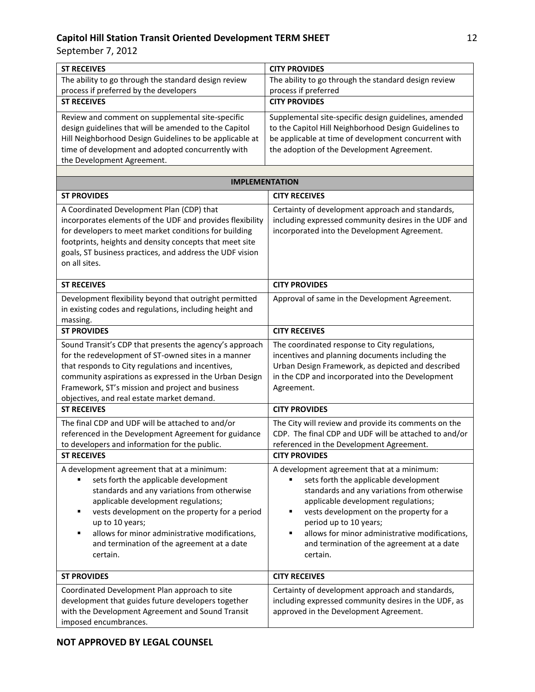| <b>ST RECEIVES</b>                                                                                                                                                                                                                                                                                                                                                   | <b>CITY PROVIDES</b>                                                                                                                                                                                                                                                                                                                                                 |
|----------------------------------------------------------------------------------------------------------------------------------------------------------------------------------------------------------------------------------------------------------------------------------------------------------------------------------------------------------------------|----------------------------------------------------------------------------------------------------------------------------------------------------------------------------------------------------------------------------------------------------------------------------------------------------------------------------------------------------------------------|
| The ability to go through the standard design review                                                                                                                                                                                                                                                                                                                 | The ability to go through the standard design review                                                                                                                                                                                                                                                                                                                 |
| process if preferred by the developers                                                                                                                                                                                                                                                                                                                               | process if preferred                                                                                                                                                                                                                                                                                                                                                 |
| <b>ST RECEIVES</b>                                                                                                                                                                                                                                                                                                                                                   | <b>CITY PROVIDES</b>                                                                                                                                                                                                                                                                                                                                                 |
| Review and comment on supplemental site-specific<br>design guidelines that will be amended to the Capitol<br>Hill Neighborhood Design Guidelines to be applicable at<br>time of development and adopted concurrently with<br>the Development Agreement.                                                                                                              | Supplemental site-specific design guidelines, amended<br>to the Capitol Hill Neighborhood Design Guidelines to<br>be applicable at time of development concurrent with<br>the adoption of the Development Agreement.                                                                                                                                                 |
|                                                                                                                                                                                                                                                                                                                                                                      |                                                                                                                                                                                                                                                                                                                                                                      |
| <b>IMPLEMENTATION</b>                                                                                                                                                                                                                                                                                                                                                |                                                                                                                                                                                                                                                                                                                                                                      |
| <b>ST PROVIDES</b>                                                                                                                                                                                                                                                                                                                                                   | <b>CITY RECEIVES</b>                                                                                                                                                                                                                                                                                                                                                 |
| A Coordinated Development Plan (CDP) that<br>incorporates elements of the UDF and provides flexibility<br>for developers to meet market conditions for building<br>footprints, heights and density concepts that meet site<br>goals, ST business practices, and address the UDF vision<br>on all sites.                                                              | Certainty of development approach and standards,<br>including expressed community desires in the UDF and<br>incorporated into the Development Agreement.                                                                                                                                                                                                             |
| <b>ST RECEIVES</b>                                                                                                                                                                                                                                                                                                                                                   | <b>CITY PROVIDES</b>                                                                                                                                                                                                                                                                                                                                                 |
| Development flexibility beyond that outright permitted<br>in existing codes and regulations, including height and<br>massing.                                                                                                                                                                                                                                        | Approval of same in the Development Agreement.                                                                                                                                                                                                                                                                                                                       |
| <b>ST PROVIDES</b>                                                                                                                                                                                                                                                                                                                                                   | <b>CITY RECEIVES</b>                                                                                                                                                                                                                                                                                                                                                 |
| Sound Transit's CDP that presents the agency's approach<br>for the redevelopment of ST-owned sites in a manner<br>that responds to City regulations and incentives,<br>community aspirations as expressed in the Urban Design<br>Framework, ST's mission and project and business<br>objectives, and real estate market demand.                                      | The coordinated response to City regulations,<br>incentives and planning documents including the<br>Urban Design Framework, as depicted and described<br>in the CDP and incorporated into the Development<br>Agreement.                                                                                                                                              |
| <b>ST RECEIVES</b>                                                                                                                                                                                                                                                                                                                                                   | <b>CITY PROVIDES</b>                                                                                                                                                                                                                                                                                                                                                 |
| The final CDP and UDF will be attached to and/or<br>referenced in the Development Agreement for guidance<br>to developers and information for the public.<br><b>ST RECEIVES</b>                                                                                                                                                                                      | The City will review and provide its comments on the<br>CDP. The final CDP and UDF will be attached to and/or<br>referenced in the Development Agreement.<br><b>CITY PROVIDES</b>                                                                                                                                                                                    |
| A development agreement that at a minimum:<br>sets forth the applicable development<br>standards and any variations from otherwise<br>applicable development regulations;<br>vests development on the property for a period<br>٠<br>up to 10 years;<br>allows for minor administrative modifications,<br>٠<br>and termination of the agreement at a date<br>certain. | A development agreement that at a minimum:<br>sets forth the applicable development<br>standards and any variations from otherwise<br>applicable development regulations;<br>vests development on the property for a<br>٠<br>period up to 10 years;<br>allows for minor administrative modifications,<br>٠<br>and termination of the agreement at a date<br>certain. |
| <b>ST PROVIDES</b>                                                                                                                                                                                                                                                                                                                                                   | <b>CITY RECEIVES</b>                                                                                                                                                                                                                                                                                                                                                 |
| Coordinated Development Plan approach to site<br>development that guides future developers together<br>with the Development Agreement and Sound Transit<br>imposed encumbrances.                                                                                                                                                                                     | Certainty of development approach and standards,<br>including expressed community desires in the UDF, as<br>approved in the Development Agreement.                                                                                                                                                                                                                   |